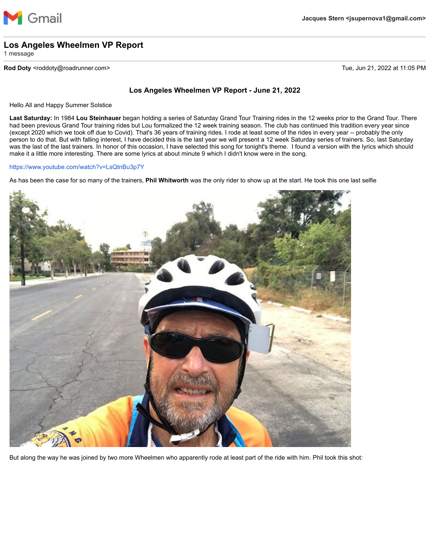

## **Los Angeles Wheelmen VP Report**

1 message

## **Rod Doty** <roddoty@roadrunner.com> Tue, Jun 21, 2022 at 11:05 PM

## **Los Angeles Wheelmen VP Report - June 21, 2022**

Hello All and Happy Summer Solstice

**Last Saturday:** In 1984 **Lou Steinhauer** began holding a series of Saturday Grand Tour Training rides in the 12 weeks prior to the Grand Tour. There had been previous Grand Tour training rides but Lou formalized the 12 week training season. The club has continued this tradition every year since (except 2020 which we took off due to Covid). That's 36 years of training rides. I rode at least some of the rides in every year -- probably the only person to do that. But with falling interest, I have decided this is the last year we will present a 12 week Saturday series of trainers. So, last Saturday was the last of the last trainers. In honor of this occasion, I have selected this song for tonight's theme. I found a version with the lyrics which should make it a little more interesting. There are some lyrics at about minute 9 which I didn't know were in the song.

<https://www.youtube.com/watch?v=LsQtnBu3p7Y>

As has been the case for so many of the trainers, **Phil Whitworth** was the only rider to show up at the start. He took this one last selfie



But along the way he was joined by two more Wheelmen who apparently rode at least part of the ride with him. Phil took this shot: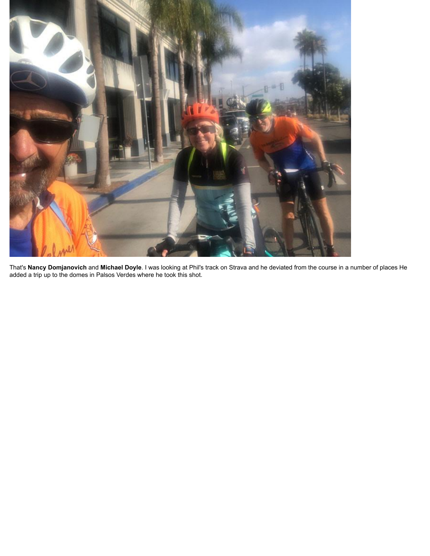

That's **Nancy Domjanovich** and **Michael Doyle**. I was looking at Phil's track on Strava and he deviated from the course in a number of places He added a trip up to the domes in Palsos Verdes where he took this shot.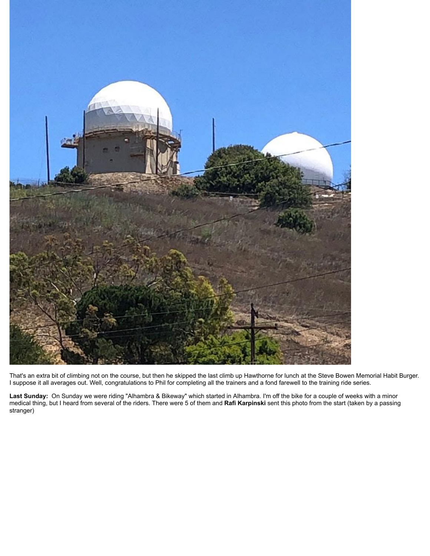

That's an extra bit of climbing not on the course, but then he skipped the last climb up Hawthorne for lunch at the Steve Bowen Memorial Habit Burger. I suppose it all averages out. Well, congratulations to Phil for completing all the trainers and a fond farewell to the training ride series.

**Last Sunday:** On Sunday we were riding "Alhambra & Bikeway" which started in Alhambra. I'm off the bike for a couple of weeks with a minor medical thing, but I heard from several of the riders. There were 5 of them and **Rafi Karpinski** sent this photo from the start (taken by a passing stranger)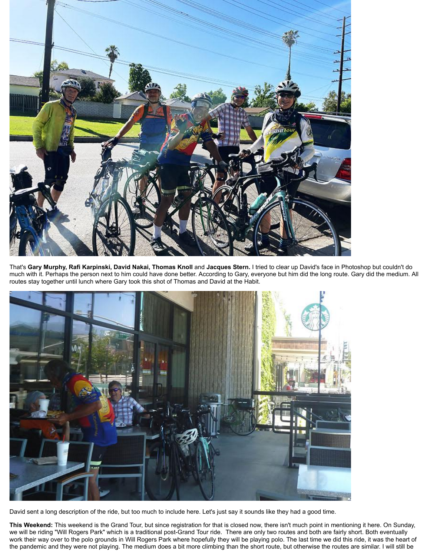

That's **Gary Murphy, Rafi Karpinski, David Nakai, Thomas Knoll** and **Jacques Stern.** I tried to clear up David's face in Photoshop but couldn't do much with it. Perhaps the person next to him could have done better. According to Gary, everyone but him did the long route. Gary did the medium. All routes stay together until lunch where Gary took this shot of Thomas and David at the Habit.



David sent a long description of the ride, but too much to include here. Let's just say it sounds like they had a good time.

**This Weekend:** This weekend is the Grand Tour, but since registration for that is closed now, there isn't much point in mentioning it here. On Sunday, we will be riding "Will Rogers Park" which is a traditional post-Grand Tour ride. There are only two routes and both are fairly short. Both eventually work their way over to the polo grounds in Will Rogers Park where hopefully they will be playing polo. The last time we did this ride, it was the heart of the pandemic and they were not playing. The medium does a bit more climbing than the short route, but otherwise the routes are similar. I will still be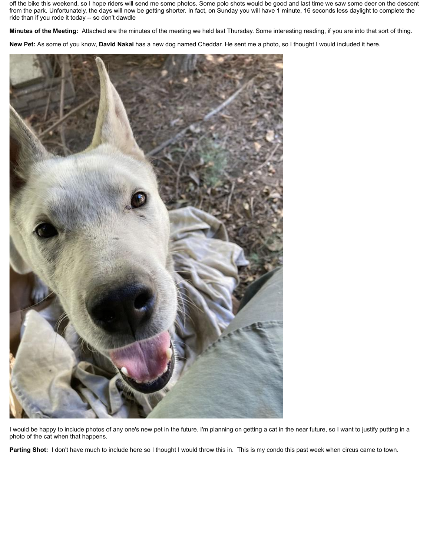off the bike this weekend, so I hope riders will send me some photos. Some polo shots would be good and last time we saw some deer on the descent from the park. Unfortunately, the days will now be getting shorter. In fact, on Sunday you will have 1 minute, 16 seconds less daylight to complete the ride than if you rode it today -- so don't dawdle

**Minutes of the Meeting:** Attached are the minutes of the meeting we held last Thursday. Some interesting reading, if you are into that sort of thing.

**New Pet:** As some of you know, **David Nakai** has a new dog named Cheddar. He sent me a photo, so I thought I would included it here.



I would be happy to include photos of any one's new pet in the future. I'm planning on getting a cat in the near future, so I want to justify putting in a photo of the cat when that happens.

Parting Shot: I don't have much to include here so I thought I would throw this in. This is my condo this past week when circus came to town.